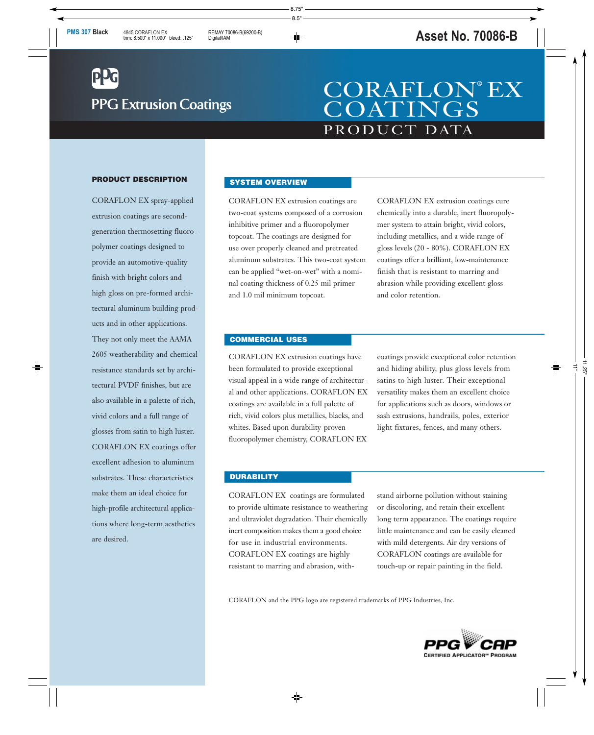# **PPG Extrusion Coatings**

## PRODUCT DATA CORAFLON® EX **COATINGS**

#### **PRODUCT DESCRIPTION**

CORAFLON EX spray-applied extrusion coatings are secondgeneration thermosetting fluoropolymer coatings designed to provide an automotive-quality finish with bright colors and high gloss on pre-formed architectural aluminum building products and in other applications. They not only meet the AAMA 2605 weatherability and chemical resistance standards set by architectural PVDF finishes, but are also available in a palette of rich, vivid colors and a full range of glosses from satin to high luster. CORAFLON EX coatings offer excellent adhesion to aluminum substrates. These characteristics make them an ideal choice for high-profile architectural applications where long-term aesthetics are desired.

#### **SYSTEM OVERVIEW**

CORAFLON EX extrusion coatings are two-coat systems composed of a corrosion inhibitive primer and a fluoropolymer topcoat. The coatings are designed for use over properly cleaned and pretreated aluminum substrates. This two-coat system can be applied "wet-on-wet" with a nominal coating thickness of 0.25 mil primer and 1.0 mil minimum topcoat.

CORAFLON EX extrusion coatings cure chemically into a durable, inert fluoropolymer system to attain bright, vivid colors, including metallics, and a wide range of gloss levels (20 - 80%). CORAFLON EX coatings offer a brilliant, low-maintenance finish that is resistant to marring and abrasion while providing excellent gloss and color retention.

#### **COMMERCIAL USES**

CORAFLON EX extrusion coatings have been formulated to provide exceptional visual appeal in a wide range of architectural and other applications. CORAFLON EX coatings are available in a full palette of rich, vivid colors plus metallics, blacks, and whites. Based upon durability-proven fluoropolymer chemistry, CORAFLON EX

coatings provide exceptional color retention and hiding ability, plus gloss levels from satins to high luster. Their exceptional versatility makes them an excellent choice for applications such as doors, windows or sash extrusions, handrails, poles, exterior light fixtures, fences, and many others.

#### **DURABILITY**

CORAFLON EX coatings are formulated to provide ultimate resistance to weathering and ultraviolet degradation. Their chemically inert composition makes them a good choice for use in industrial environments. CORAFLON EX coatings are highly resistant to marring and abrasion, withstand airborne pollution without staining or discoloring, and retain their excellent long term appearance. The coatings require little maintenance and can be easily cleaned with mild detergents. Air dry versions of CORAFLON coatings are available for touch-up or repair painting in the field.

CORAFLON and the PPG logo are registered trademarks of PPG Industries, Inc.